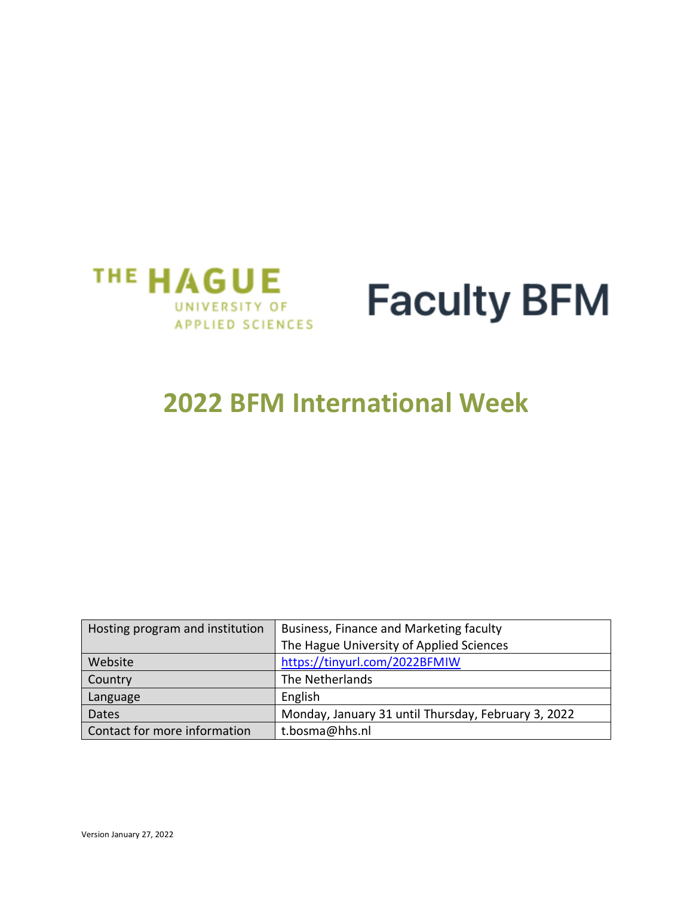



| Hosting program and institution | Business, Finance and Marketing faculty             |
|---------------------------------|-----------------------------------------------------|
|                                 | The Hague University of Applied Sciences            |
| Website                         | https://tinyurl.com/2022BFMIW                       |
| <b>Country</b>                  | The Netherlands                                     |
| Language                        | English                                             |
| <b>Dates</b>                    | Monday, January 31 until Thursday, February 3, 2022 |
| Contact for more information    | t.bosma@hhs.nl                                      |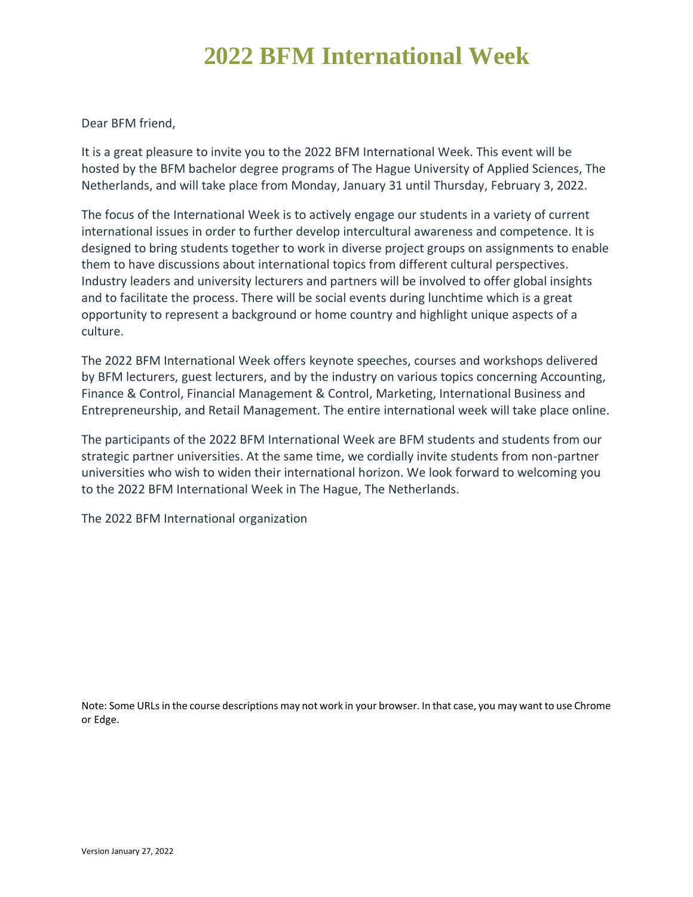### Dear BFM friend,

It is a great pleasure to invite you to the 2022 BFM International Week. This event will be hosted by the BFM bachelor degree programs of The Hague University of Applied Sciences, The Netherlands, and will take place from Monday, January 31 until Thursday, February 3, 2022.

The focus of the International Week is to actively engage our students in a variety of current international issues in order to further develop intercultural awareness and competence. It is designed to bring students together to work in diverse project groups on assignments to enable them to have discussions about international topics from different cultural perspectives. Industry leaders and university lecturers and partners will be involved to offer global insights and to facilitate the process. There will be social events during lunchtime which is a great opportunity to represent a background or home country and highlight unique aspects of a culture.

The 2022 BFM International Week offers keynote speeches, courses and workshops delivered by BFM lecturers, guest lecturers, and by the industry on various topics concerning Accounting, Finance & Control, Financial Management & Control, Marketing, International Business and Entrepreneurship, and Retail Management. The entire international week will take place online.

The participants of the 2022 BFM International Week are BFM students and students from our strategic partner universities. At the same time, we cordially invite students from non-partner universities who wish to widen their international horizon. We look forward to welcoming you to the 2022 BFM International Week in The Hague, The Netherlands.

The 2022 BFM International organization

Note: Some URLs in the course descriptions may not work in your browser. In that case, you may want to use Chrome or Edge.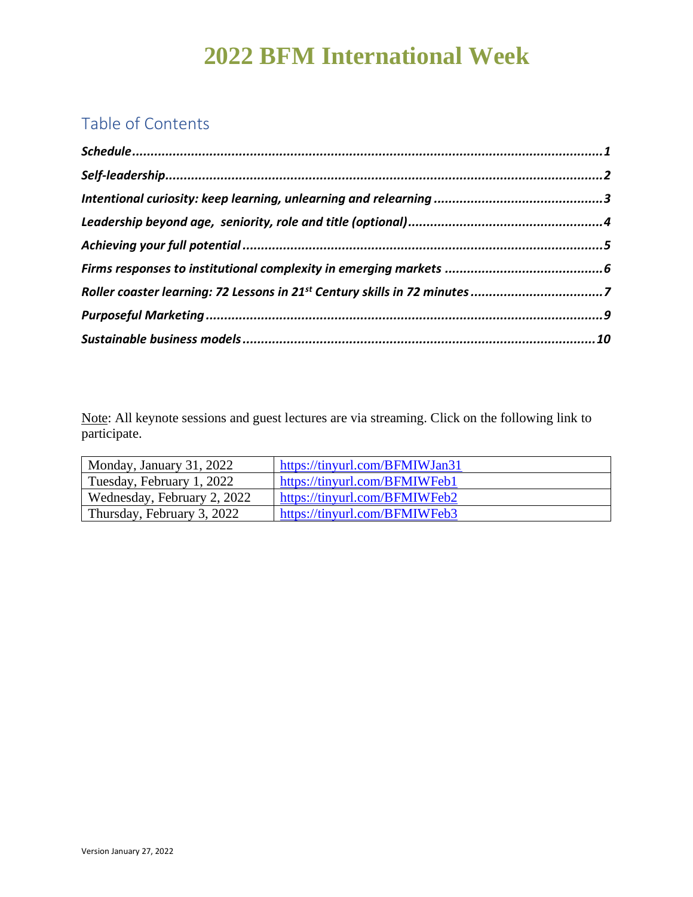# Table of Contents

Note: All keynote sessions and guest lectures are via streaming. Click on the following link to participate.

| Monday, January 31, 2022    | https://tinyurl.com/BFMIWJan31 |
|-----------------------------|--------------------------------|
| Tuesday, February 1, 2022   | https://tinyurl.com/BFMIWFeb1  |
| Wednesday, February 2, 2022 | https://tinyurl.com/BFMIWFeb2  |
| Thursday, February 3, 2022  | https://tinyurl.com/BFMIWFeb3  |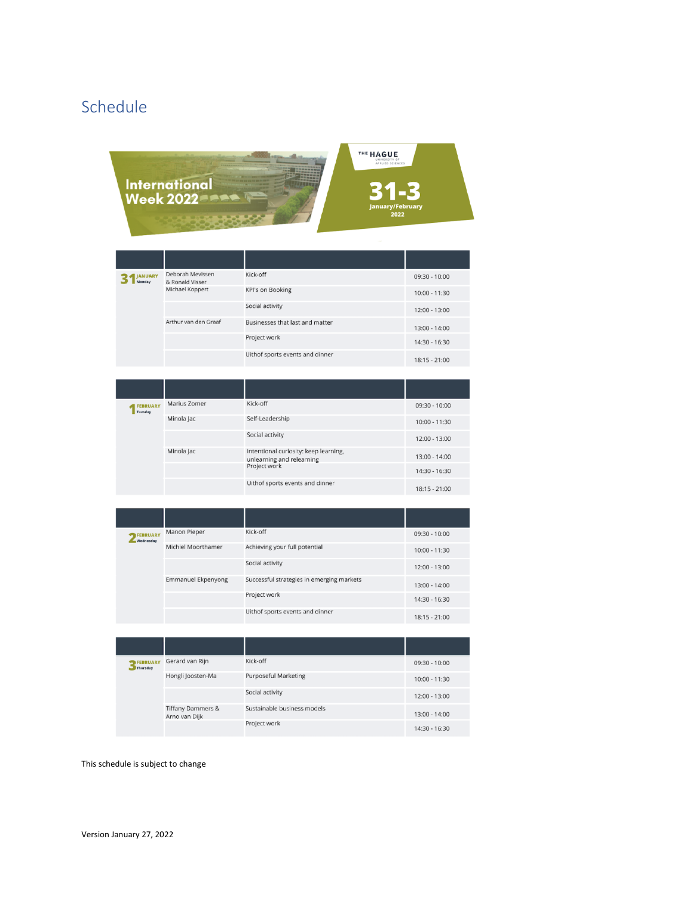# <span id="page-3-0"></span>Schedule

THE HAGUE International<br>Week 2022

| <b>JANUARY</b><br>Monday | Deborah Mevissen<br>& Ronald Visser | Kick-off             | $09:30 - 10:00$                 |                 |
|--------------------------|-------------------------------------|----------------------|---------------------------------|-----------------|
|                          |                                     | Michael Koppert      | <b>KPI's on Booking</b>         | $10:00 - 11:30$ |
|                          |                                     |                      | Social activity                 | $12:00 - 13:00$ |
|                          |                                     | Arthur van den Graaf | Businesses that last and matter | 13:00 - 14:00   |
|                          |                                     |                      | Project work                    | 14:30 - 16:30   |
|                          |                                     |                      | Uithof sports events and dinner | $18:15 - 21:00$ |

| <b>FEBRUARY</b><br>Tuesday | Marius Zomer | Kick-off                                                           | 09:30 - 10:00   |
|----------------------------|--------------|--------------------------------------------------------------------|-----------------|
|                            | Minola Jac   | Self-Leadership                                                    | $10:00 - 11:30$ |
|                            |              | Social activity                                                    | 12:00 - 13:00   |
|                            | Minola Jac   | Intentional curiosity: keep learning,<br>unlearning and relearning | $13:00 - 14:00$ |
|                            |              | Project work                                                       | 14:30 - 16:30   |
|                            |              | Uithof sports events and dinner                                    | $18:15 - 21:00$ |

| <b>FEBRUARY</b><br>Wednesday | Manon Pieper       | Kick-off                                  | 09:30 - 10:00   |
|------------------------------|--------------------|-------------------------------------------|-----------------|
|                              | Michiel Moorthamer | Achieving your full potential             | $10:00 - 11:30$ |
|                              |                    | Social activity                           | 12:00 - 13:00   |
|                              | Emmanuel Ekpenyong | Successful strategies in emerging markets | 13:00 - 14:00   |
|                              |                    | Project work                              | $14:30 - 16:30$ |
|                              |                    | Uithof sports events and dinner           | $18:15 - 21:00$ |

| <b>BEBRUARY</b><br>Thursday | Gerard van Rijn                               | Kick-off                    | 09:30 - 10:00   |
|-----------------------------|-----------------------------------------------|-----------------------------|-----------------|
|                             | Hongli Joosten-Ma                             | <b>Purposeful Marketing</b> | $10:00 - 11:30$ |
|                             |                                               | Social activity             | $12:00 - 13:00$ |
|                             | <b>Tiffany Dammers &amp;</b><br>Arno van Dijk | Sustainable business models | $13:00 - 14:00$ |
|                             |                                               | Project work                | 14:30 - 16:30   |

This schedule is subject to change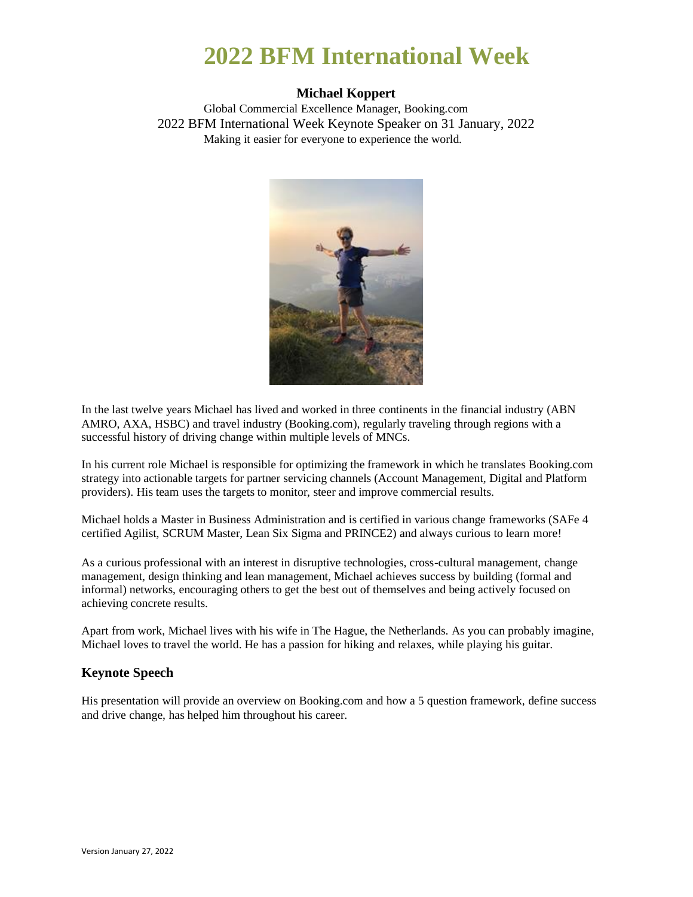#### **Michael Koppert**

Global Commercial Excellence Manager, Booking.com 2022 BFM International Week Keynote Speaker on 31 January, 2022 Making it easier for everyone to experience the world.



In the last twelve years Michael has lived and worked in three continents in the financial industry (ABN AMRO, AXA, HSBC) and travel industry (Booking.com), regularly traveling through regions with a successful history of driving change within multiple levels of MNCs.

In his current role Michael is responsible for optimizing the framework in which he translates Booking.com strategy into actionable targets for partner servicing channels (Account Management, Digital and Platform providers). His team uses the targets to monitor, steer and improve commercial results.

Michael holds a Master in Business Administration and is certified in various change frameworks (SAFe 4 certified Agilist, SCRUM Master, Lean Six Sigma and PRINCE2) and always curious to learn more!

As a curious professional with an interest in disruptive technologies, cross-cultural management, change management, design thinking and lean management, Michael achieves success by building (formal and informal) networks, encouraging others to get the best out of themselves and being actively focused on achieving concrete results.

Apart from work, Michael lives with his wife in The Hague, the Netherlands. As you can probably imagine, Michael loves to travel the world. He has a passion for hiking and relaxes, while playing his guitar.

#### **Keynote Speech**

His presentation will provide an overview on Booking.com and how a 5 question framework, define success and drive change, has helped him throughout his career.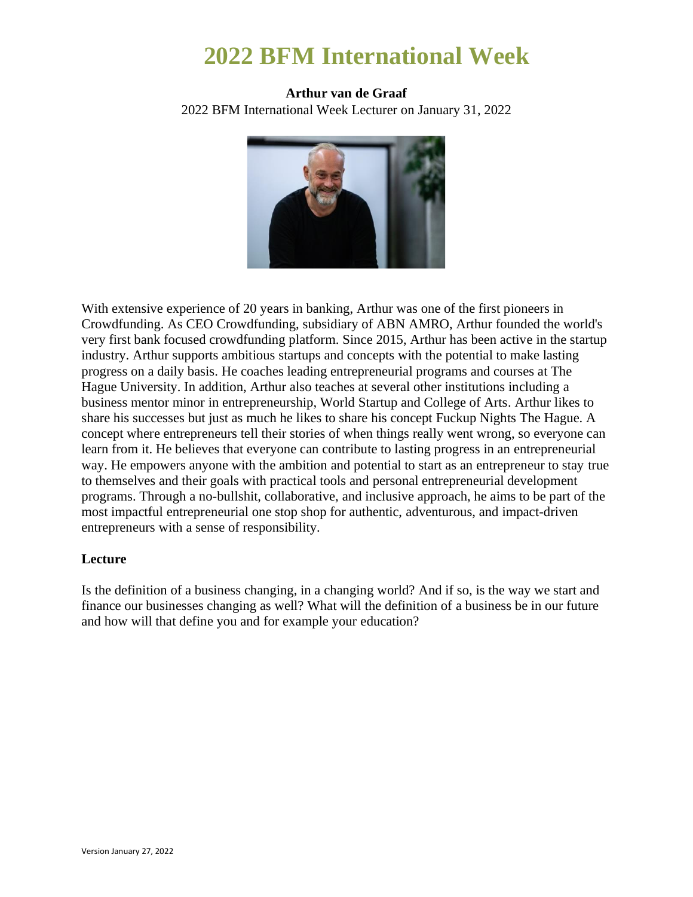## **Arthur van de Graaf** 2022 BFM International Week Lecturer on January 31, 2022



With extensive experience of 20 years in banking, Arthur was one of the first pioneers in Crowdfunding. As CEO Crowdfunding, subsidiary of ABN AMRO, Arthur founded the world's very first bank focused crowdfunding platform. Since 2015, Arthur has been active in the startup industry. Arthur supports ambitious startups and concepts with the potential to make lasting progress on a daily basis. He coaches leading entrepreneurial programs and courses at The Hague University. In addition, Arthur also teaches at several other institutions including a business mentor minor in entrepreneurship, World Startup and College of Arts. Arthur likes to share his successes but just as much he likes to share his concept Fuckup Nights The Hague. A concept where entrepreneurs tell their stories of when things really went wrong, so everyone can learn from it. He believes that everyone can contribute to lasting progress in an entrepreneurial way. He empowers anyone with the ambition and potential to start as an entrepreneur to stay true to themselves and their goals with practical tools and personal entrepreneurial development programs. Through a no-bullshit, collaborative, and inclusive approach, he aims to be part of the most impactful entrepreneurial one stop shop for authentic, adventurous, and impact-driven entrepreneurs with a sense of responsibility.

### **Lecture**

Is the definition of a business changing, in a changing world? And if so, is the way we start and finance our businesses changing as well? What will the definition of a business be in our future and how will that define you and for example your education?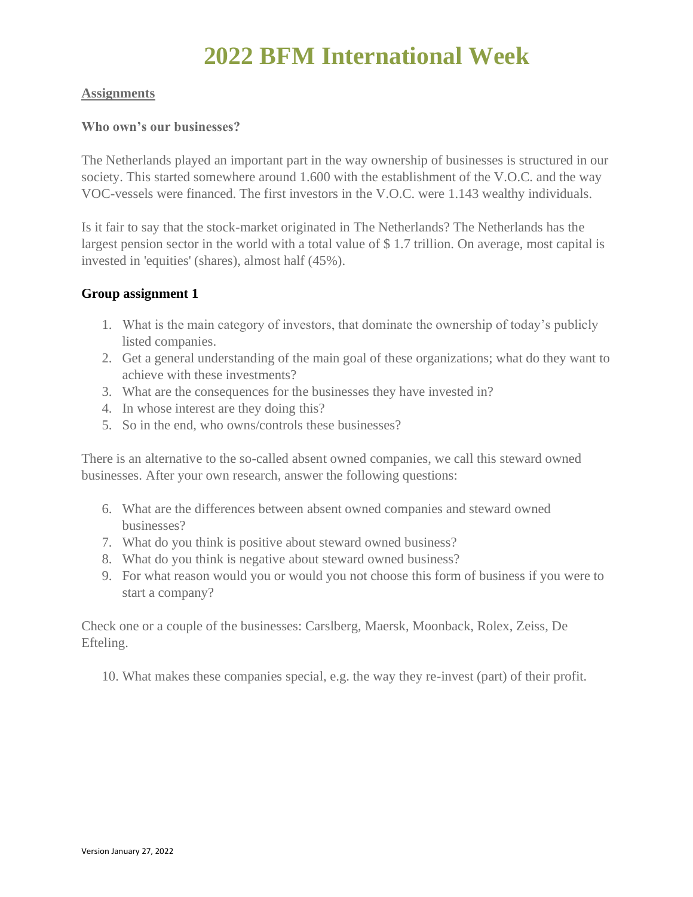### **Assignments**

#### **Who own's our businesses?**

The Netherlands played an important part in the way ownership of businesses is structured in our society. This started somewhere around 1.600 with the establishment of the V.O.C. and the way VOC-vessels were financed. The first investors in the V.O.C. were 1.143 wealthy individuals.

Is it fair to say that the stock-market originated in The Netherlands? The Netherlands has the largest pension sector in the world with a total value of \$ 1.7 trillion. On average, most capital is invested in 'equities' (shares), almost half (45%).

### **Group assignment 1**

- 1. What is the main category of investors, that dominate the ownership of today's publicly listed companies.
- 2. Get a general understanding of the main goal of these organizations; what do they want to achieve with these investments?
- 3. What are the consequences for the businesses they have invested in?
- 4. In whose interest are they doing this?
- 5. So in the end, who owns/controls these businesses?

There is an alternative to the so-called absent owned companies, we call this steward owned businesses. After your own research, answer the following questions:

- 6. What are the differences between absent owned companies and steward owned businesses?
- 7. What do you think is positive about steward owned business?
- 8. What do you think is negative about steward owned business?
- 9. For what reason would you or would you not choose this form of business if you were to start a company?

Check one or a couple of the businesses: Carslberg, Maersk, Moonback, Rolex, Zeiss, De Efteling.

10. What makes these companies special, e.g. the way they re-invest (part) of their profit.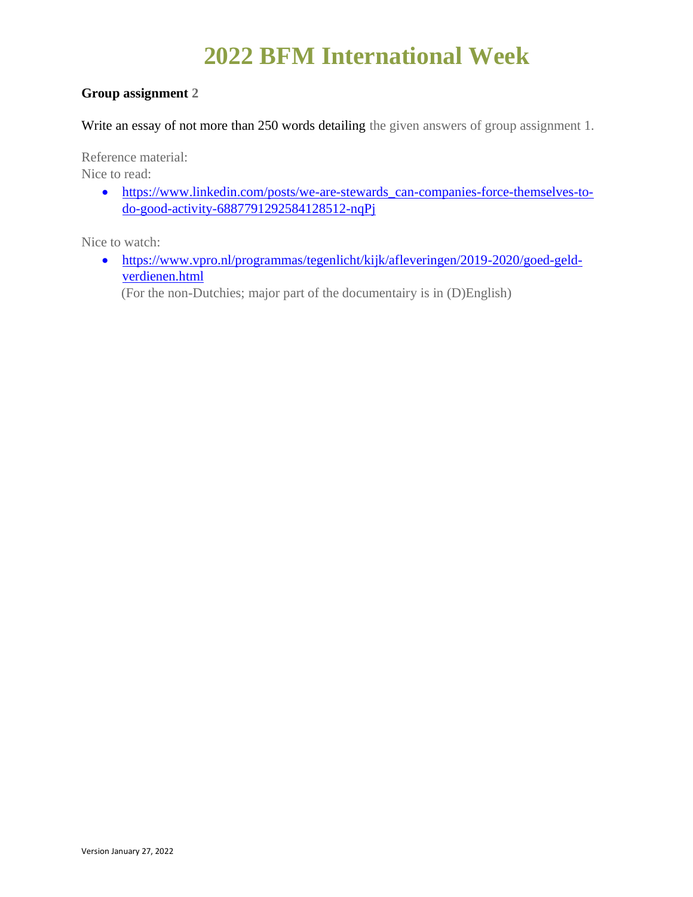## **Group assignment 2**

Write an essay of not more than 250 words detailing the given answers of group assignment 1.

Reference material:

Nice to read:

• [https://www.linkedin.com/posts/we-are-stewards\\_can-companies-force-themselves-to](https://www.linkedin.com/posts/we-are-stewards_can-companies-force-themselves-to-do-good-activity-6887791292584128512-nqPj)[do-good-activity-6887791292584128512-nqPj](https://www.linkedin.com/posts/we-are-stewards_can-companies-force-themselves-to-do-good-activity-6887791292584128512-nqPj)

Nice to watch:

• [https://www.vpro.nl/programmas/tegenlicht/kijk/afleveringen/2019-2020/goed-geld](https://www.vpro.nl/programmas/tegenlicht/kijk/afleveringen/2019-2020/goed-geld-verdienen.html)[verdienen.html](https://www.vpro.nl/programmas/tegenlicht/kijk/afleveringen/2019-2020/goed-geld-verdienen.html)

(For the non-Dutchies; major part of the documentairy is in (D)English)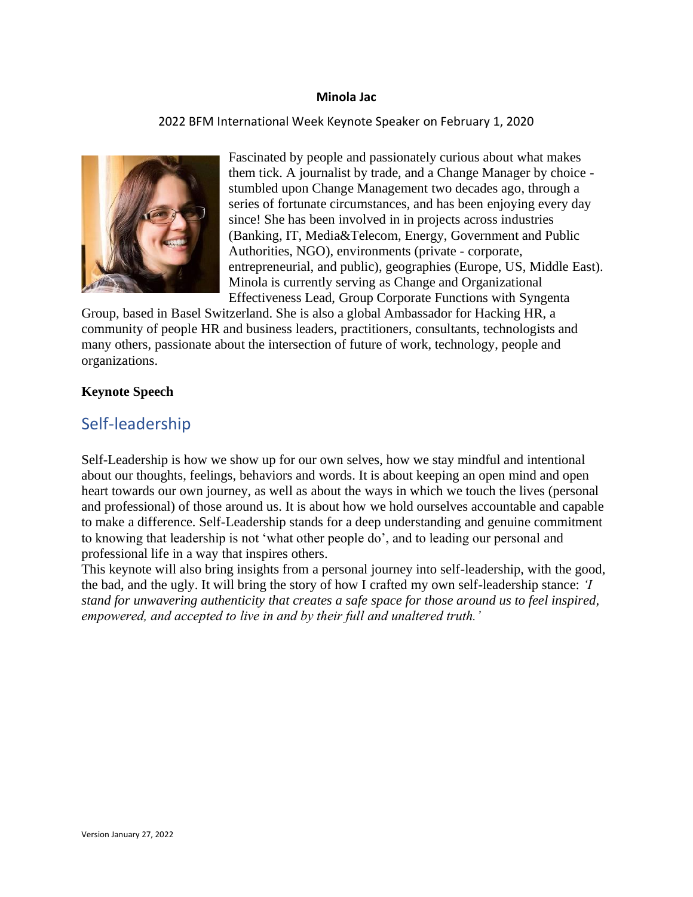#### **Minola Jac**

2022 BFM International Week Keynote Speaker on February 1, 2020



Fascinated by people and passionately curious about what makes them tick. A journalist by trade, and a Change Manager by choice stumbled upon Change Management two decades ago, through a series of fortunate circumstances, and has been enjoying every day since! She has been involved in in projects across industries (Banking, IT, Media&Telecom, Energy, Government and Public Authorities, NGO), environments (private - corporate, entrepreneurial, and public), geographies (Europe, US, Middle East). Minola is currently serving as Change and Organizational Effectiveness Lead, Group Corporate Functions with Syngenta

Group, based in Basel Switzerland. She is also a global Ambassador for Hacking HR, a community of people HR and business leaders, practitioners, consultants, technologists and many others, passionate about the intersection of future of work, technology, people and organizations.

### <span id="page-8-0"></span>**Keynote Speech**

## Self-leadership

Self-Leadership is how we show up for our own selves, how we stay mindful and intentional about our thoughts, feelings, behaviors and words. It is about keeping an open mind and open heart towards our own journey, as well as about the ways in which we touch the lives (personal and professional) of those around us. It is about how we hold ourselves accountable and capable to make a difference. Self-Leadership stands for a deep understanding and genuine commitment to knowing that leadership is not 'what other people do', and to leading our personal and professional life in a way that inspires others.

This keynote will also bring insights from a personal journey into self-leadership, with the good, the bad, and the ugly. It will bring the story of how I crafted my own self-leadership stance: *'I stand for unwavering authenticity that creates a safe space for those around us to feel inspired, empowered, and accepted to live in and by their full and unaltered truth.'*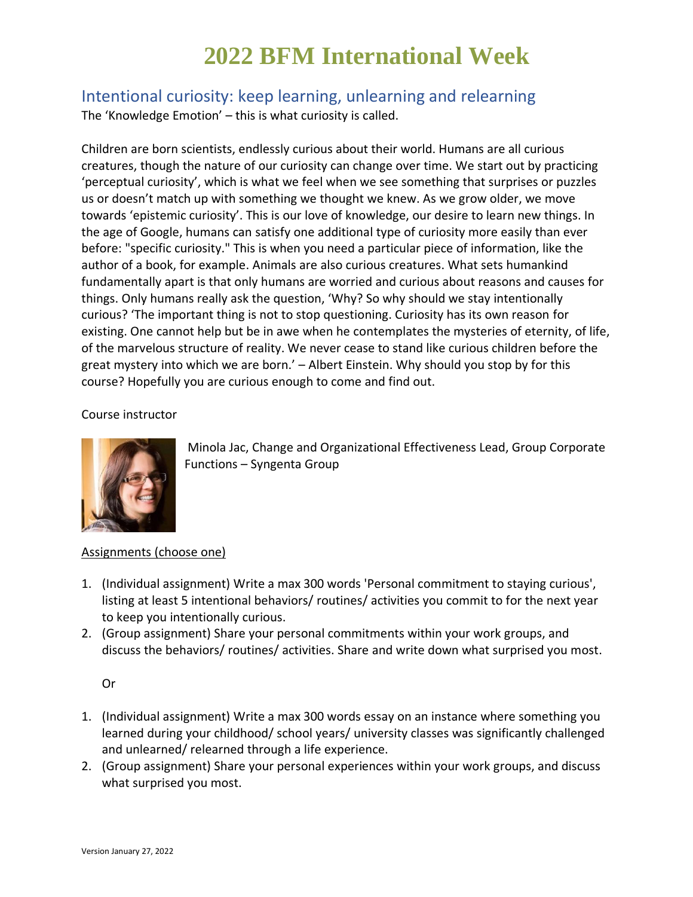<span id="page-9-0"></span>Intentional curiosity: keep learning, unlearning and relearning The 'Knowledge Emotion' – this is what curiosity is called.

Children are born scientists, endlessly curious about their world. Humans are all curious creatures, though the nature of our curiosity can change over time. We start out by practicing 'perceptual curiosity', which is what we feel when we see something that surprises or puzzles us or doesn't match up with something we thought we knew. As we grow older, we move towards 'epistemic curiosity'. This is our love of knowledge, our desire to learn new things. In the age of Google, humans can satisfy one additional type of curiosity more easily than ever before: "specific curiosity." This is when you need a particular piece of information, like the author of a book, for example. Animals are also curious creatures. What sets humankind fundamentally apart is that only humans are worried and curious about reasons and causes for things. Only humans really ask the question, 'Why? So why should we stay intentionally curious? 'The important thing is not to stop questioning. Curiosity has its own reason for existing. One cannot help but be in awe when he contemplates the mysteries of eternity, of life, of the marvelous structure of reality. We never cease to stand like curious children before the great mystery into which we are born.' – Albert Einstein. Why should you stop by for this course? Hopefully you are curious enough to come and find out.

### Course instructor



Minola Jac, Change and Organizational Effectiveness Lead, Group Corporate Functions – Syngenta Group

### Assignments (choose one)

- 1. (Individual assignment) Write a max 300 words 'Personal commitment to staying curious', listing at least 5 intentional behaviors/ routines/ activities you commit to for the next year to keep you intentionally curious.
- 2. (Group assignment) Share your personal commitments within your work groups, and discuss the behaviors/ routines/ activities. Share and write down what surprised you most.

Or

- 1. (Individual assignment) Write a max 300 words essay on an instance where something you learned during your childhood/ school years/ university classes was significantly challenged and unlearned/ relearned through a life experience.
- 2. (Group assignment) Share your personal experiences within your work groups, and discuss what surprised you most.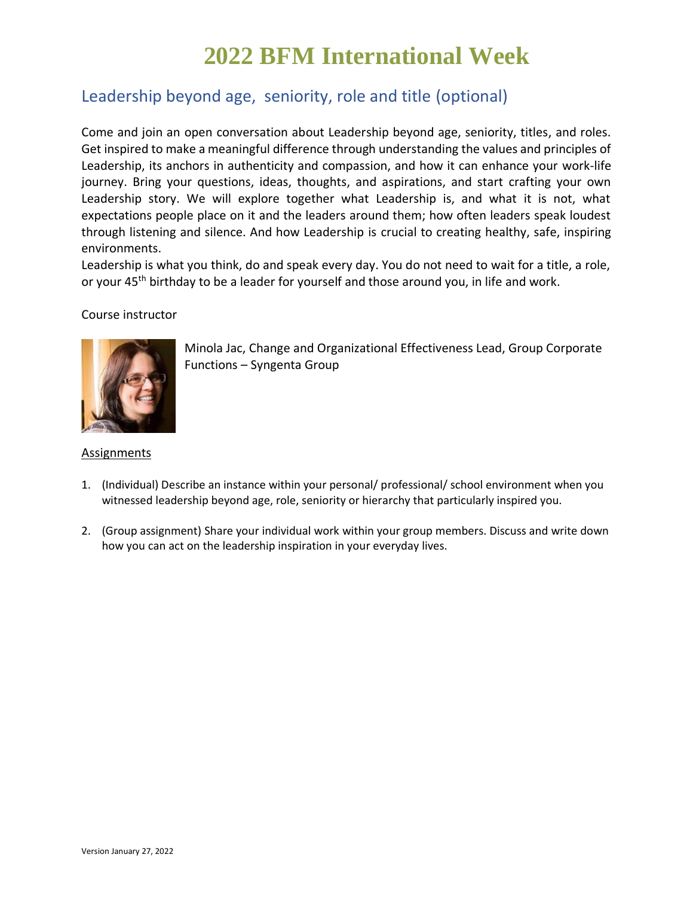# <span id="page-10-0"></span>Leadership beyond age, seniority, role and title (optional)

Come and join an open conversation about Leadership beyond age, seniority, titles, and roles. Get inspired to make a meaningful difference through understanding the values and principles of Leadership, its anchors in authenticity and compassion, and how it can enhance your work-life journey. Bring your questions, ideas, thoughts, and aspirations, and start crafting your own Leadership story. We will explore together what Leadership is, and what it is not, what expectations people place on it and the leaders around them; how often leaders speak loudest through listening and silence. And how Leadership is crucial to creating healthy, safe, inspiring environments.

Leadership is what you think, do and speak every day. You do not need to wait for a title, a role, or your 45<sup>th</sup> birthday to be a leader for yourself and those around you, in life and work.

#### Course instructor



Minola Jac, Change and Organizational Effectiveness Lead, Group Corporate Functions – Syngenta Group

- 1. (Individual) Describe an instance within your personal/ professional/ school environment when you witnessed leadership beyond age, role, seniority or hierarchy that particularly inspired you.
- 2. (Group assignment) Share your individual work within your group members. Discuss and write down how you can act on the leadership inspiration in your everyday lives.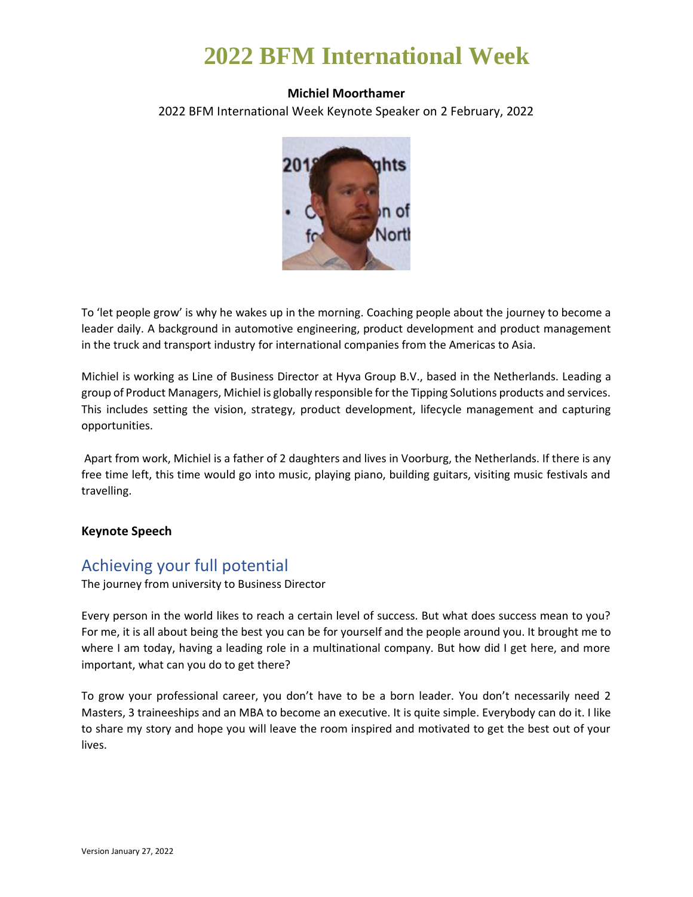### **Michiel Moorthamer**

2022 BFM International Week Keynote Speaker on 2 February, 2022



To 'let people grow' is why he wakes up in the morning. Coaching people about the journey to become a leader daily. A background in automotive engineering, product development and product management in the truck and transport industry for international companies from the Americas to Asia.

Michiel is working as Line of Business Director at Hyva Group B.V., based in the Netherlands. Leading a group of Product Managers, Michiel is globally responsible for the Tipping Solutions products and services. This includes setting the vision, strategy, product development, lifecycle management and capturing opportunities.

Apart from work, Michiel is a father of 2 daughters and lives in Voorburg, the Netherlands. If there is any free time left, this time would go into music, playing piano, building guitars, visiting music festivals and travelling.

### **Keynote Speech**

# <span id="page-11-0"></span>Achieving your full potential

The journey from university to Business Director

Every person in the world likes to reach a certain level of success. But what does success mean to you? For me, it is all about being the best you can be for yourself and the people around you. It brought me to where I am today, having a leading role in a multinational company. But how did I get here, and more important, what can you do to get there?

To grow your professional career, you don't have to be a born leader. You don't necessarily need 2 Masters, 3 traineeships and an MBA to become an executive. It is quite simple. Everybody can do it. I like to share my story and hope you will leave the room inspired and motivated to get the best out of your lives.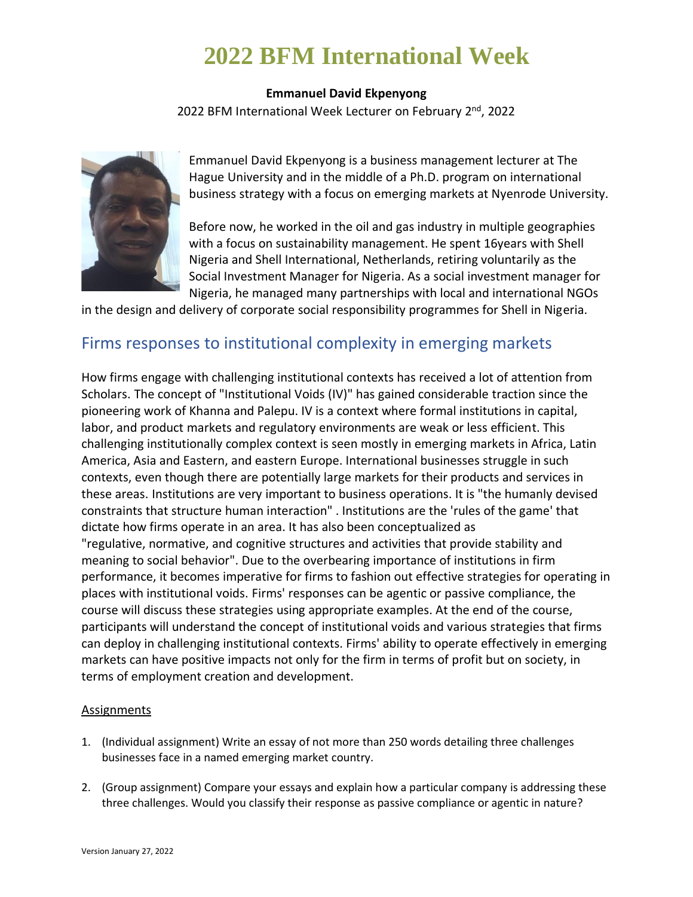### **Emmanuel David Ekpenyong**

2022 BFM International Week Lecturer on February 2<sup>nd</sup>, 2022



Emmanuel David Ekpenyong is a business management lecturer at The Hague University and in the middle of a Ph.D. program on international business strategy with a focus on emerging markets at Nyenrode University.

Before now, he worked in the oil and gas industry in multiple geographies with a focus on sustainability management. He spent 16years with Shell Nigeria and Shell International, Netherlands, retiring voluntarily as the Social Investment Manager for Nigeria. As a social investment manager for Nigeria, he managed many partnerships with local and international NGOs

<span id="page-12-0"></span>in the design and delivery of corporate social responsibility programmes for Shell in Nigeria.

# Firms responses to institutional complexity in emerging markets

How firms engage with challenging institutional contexts has received a lot of attention from Scholars. The concept of "Institutional Voids (IV)" has gained considerable traction since the pioneering work of Khanna and Palepu. IV is a context where formal institutions in capital, labor, and product markets and regulatory environments are weak or less efficient. This challenging institutionally complex context is seen mostly in emerging markets in Africa, Latin America, Asia and Eastern, and eastern Europe. International businesses struggle in such contexts, even though there are potentially large markets for their products and services in these areas. Institutions are very important to business operations. It is "the humanly devised constraints that structure human interaction" . Institutions are the 'rules of the game' that dictate how firms operate in an area. It has also been conceptualized as "regulative, normative, and cognitive structures and activities that provide stability and meaning to social behavior". Due to the overbearing importance of institutions in firm performance, it becomes imperative for firms to fashion out effective strategies for operating in places with institutional voids. Firms' responses can be agentic or passive compliance, the course will discuss these strategies using appropriate examples. At the end of the course, participants will understand the concept of institutional voids and various strategies that firms can deploy in challenging institutional contexts. Firms' ability to operate effectively in emerging markets can have positive impacts not only for the firm in terms of profit but on society, in terms of employment creation and development.

- 1. (Individual assignment) Write an essay of not more than 250 words detailing three challenges businesses face in a named emerging market country.
- 2. (Group assignment) Compare your essays and explain how a particular company is addressing these three challenges. Would you classify their response as passive compliance or agentic in nature?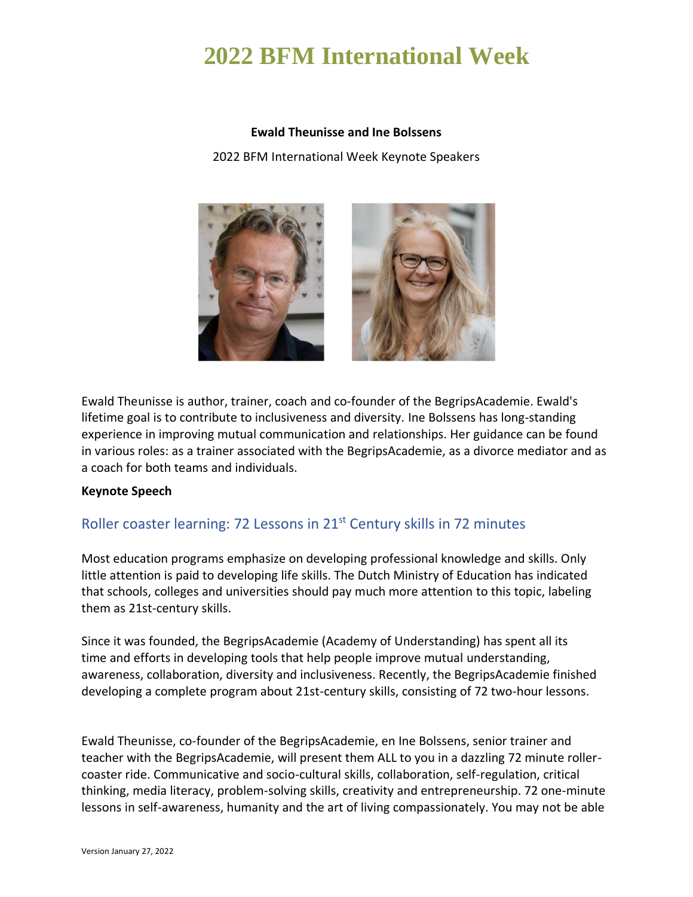#### **Ewald Theunisse and Ine Bolssens**

2022 BFM International Week Keynote Speakers



Ewald Theunisse is author, trainer, coach and co-founder of the BegripsAcademie. Ewald's lifetime goal is to contribute to inclusiveness and diversity. Ine Bolssens has long-standing experience in improving mutual communication and relationships. Her guidance can be found in various roles: as a trainer associated with the BegripsAcademie, as a divorce mediator and as a coach for both teams and individuals.

#### <span id="page-13-0"></span>**Keynote Speech**

## Roller coaster learning: 72 Lessons in 21<sup>st</sup> Century skills in 72 minutes

Most education programs emphasize on developing professional knowledge and skills. Only little attention is paid to developing life skills. The Dutch Ministry of Education has indicated that schools, colleges and universities should pay much more attention to this topic, labeling them as 21st-century skills.

Since it was founded, the BegripsAcademie (Academy of Understanding) has spent all its time and efforts in developing tools that help people improve mutual understanding, awareness, collaboration, diversity and inclusiveness. Recently, the BegripsAcademie finished developing a complete program about 21st-century skills, consisting of 72 two-hour lessons.

Ewald Theunisse, co-founder of the BegripsAcademie, en Ine Bolssens, senior trainer and teacher with the BegripsAcademie, will present them ALL to you in a dazzling 72 minute rollercoaster ride. Communicative and socio-cultural skills, collaboration, self-regulation, critical thinking, media literacy, problem-solving skills, creativity and entrepreneurship. 72 one-minute lessons in self-awareness, humanity and the art of living compassionately. You may not be able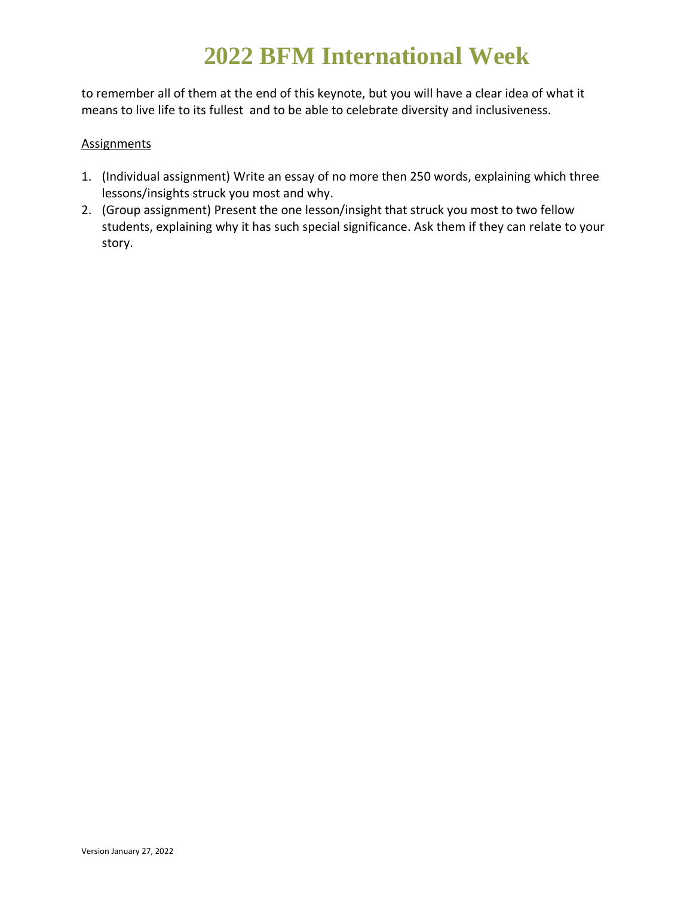to remember all of them at the end of this keynote, but you will have a clear idea of what it means to live life to its fullest and to be able to celebrate diversity and inclusiveness.

- 1. (Individual assignment) Write an essay of no more then 250 words, explaining which three lessons/insights struck you most and why.
- 2. (Group assignment) Present the one lesson/insight that struck you most to two fellow students, explaining why it has such special significance. Ask them if they can relate to your story.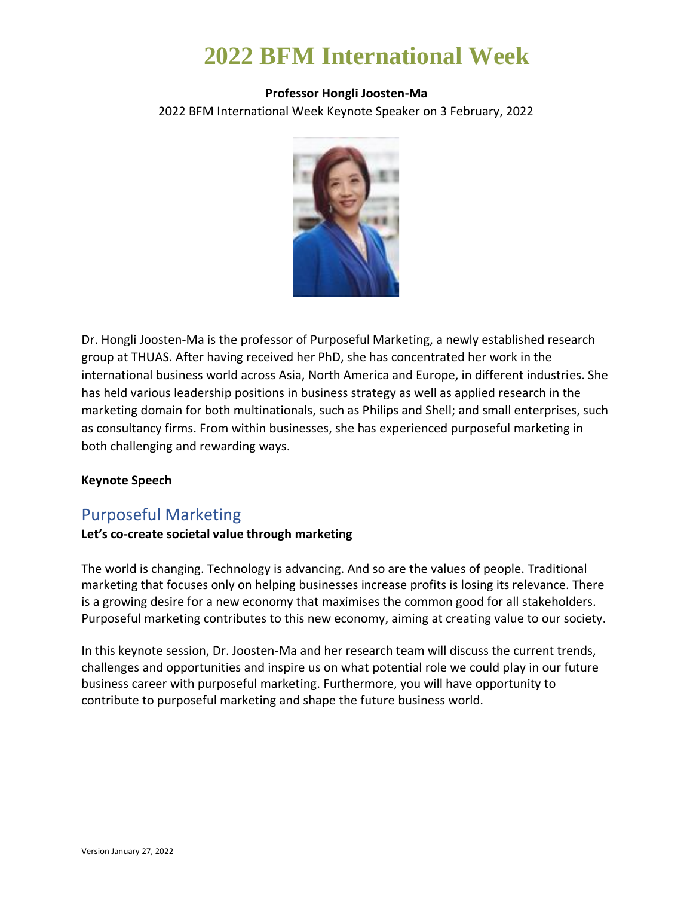### **Professor Hongli Joosten-Ma**

2022 BFM International Week Keynote Speaker on 3 February, 2022



Dr. Hongli Joosten-Ma is the professor of Purposeful Marketing, a newly established research group at THUAS. After having received her PhD, she has concentrated her work in the international business world across Asia, North America and Europe, in different industries. She has held various leadership positions in business strategy as well as applied research in the marketing domain for both multinationals, such as Philips and Shell; and small enterprises, such as consultancy firms. From within businesses, she has experienced purposeful marketing in both challenging and rewarding ways.

## **Keynote Speech**

# <span id="page-15-0"></span>Purposeful Marketing

### **Let's co-create societal value through marketing**

The world is changing. Technology is advancing. And so are the values of people. Traditional marketing that focuses only on helping businesses increase profits is losing its relevance. There is a growing desire for a new economy that maximises the common good for all stakeholders. Purposeful marketing contributes to this new economy, aiming at creating value to our society.

In this keynote session, Dr. Joosten-Ma and her research team will discuss the current trends, challenges and opportunities and inspire us on what potential role we could play in our future business career with purposeful marketing. Furthermore, you will have opportunity to contribute to purposeful marketing and shape the future business world.